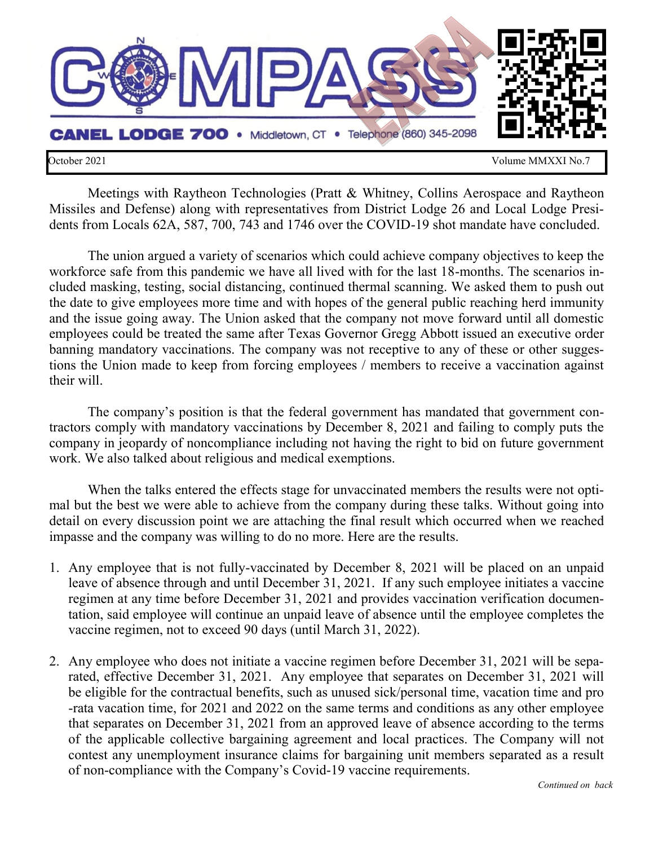

Meetings with Raytheon Technologies (Pratt & Whitney, Collins Aerospace and Raytheon Missiles and Defense) along with representatives from District Lodge 26 and Local Lodge Presidents from Locals 62A, 587, 700, 743 and 1746 over the COVID-19 shot mandate have concluded.

The union argued a variety of scenarios which could achieve company objectives to keep the workforce safe from this pandemic we have all lived with for the last 18-months. The scenarios included masking, testing, social distancing, continued thermal scanning. We asked them to push out the date to give employees more time and with hopes of the general public reaching herd immunity and the issue going away. The Union asked that the company not move forward until all domestic employees could be treated the same after Texas Governor Gregg Abbott issued an executive order banning mandatory vaccinations. The company was not receptive to any of these or other suggestions the Union made to keep from forcing employees / members to receive a vaccination against their will.

The company's position is that the federal government has mandated that government contractors comply with mandatory vaccinations by December 8, 2021 and failing to comply puts the company in jeopardy of noncompliance including not having the right to bid on future government work. We also talked about religious and medical exemptions.

When the talks entered the effects stage for unvaccinated members the results were not optimal but the best we were able to achieve from the company during these talks. Without going into detail on every discussion point we are attaching the final result which occurred when we reached impasse and the company was willing to do no more. Here are the results.

- 1. Any employee that is not fully-vaccinated by December 8, 2021 will be placed on an unpaid leave of absence through and until December 31, 2021. If any such employee initiates a vaccine regimen at any time before December 31, 2021 and provides vaccination verification documentation, said employee will continue an unpaid leave of absence until the employee completes the vaccine regimen, not to exceed 90 days (until March 31, 2022).
- 2. Any employee who does not initiate a vaccine regimen before December 31, 2021 will be separated, effective December 31, 2021. Any employee that separates on December 31, 2021 will be eligible for the contractual benefits, such as unused sick/personal time, vacation time and pro -rata vacation time, for 2021 and 2022 on the same terms and conditions as any other employee that separates on December 31, 2021 from an approved leave of absence according to the terms of the applicable collective bargaining agreement and local practices. The Company will not contest any unemployment insurance claims for bargaining unit members separated as a result of non-compliance with the Company's Covid-19 vaccine requirements.